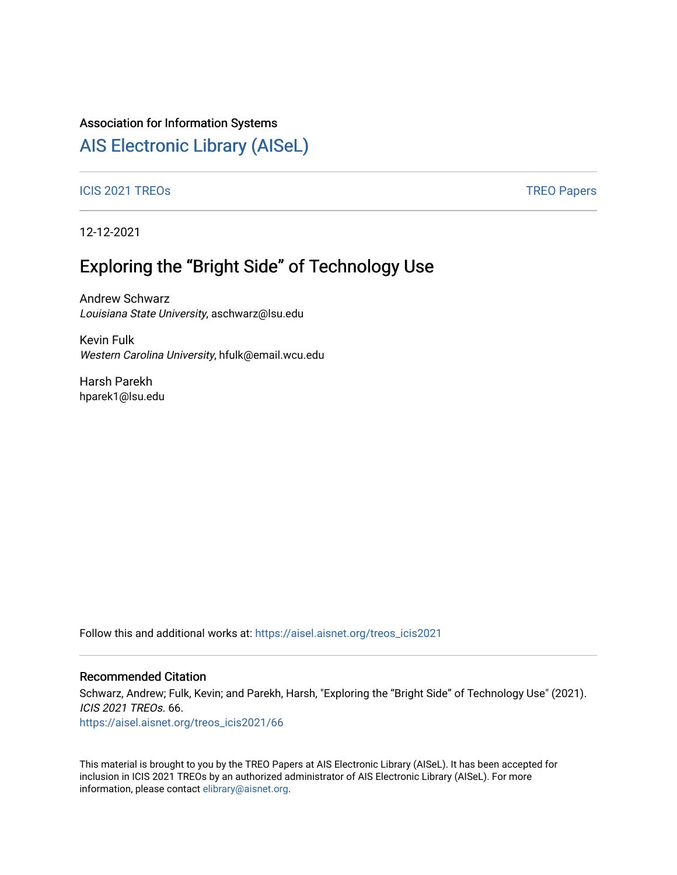### Association for Information Systems

# [AIS Electronic Library \(AISeL\)](https://aisel.aisnet.org/)

#### ICIS 2021 TREOS Notes that the contract of the contract of the contract of the contract of the contract of the contract of the contract of the contract of the contract of the contract of the contract of the contract of the

12-12-2021

# Exploring the "Bright Side" of Technology Use

Andrew Schwarz Louisiana State University, aschwarz@lsu.edu

Kevin Fulk Western Carolina University, hfulk@email.wcu.edu

Harsh Parekh hparek1@lsu.edu

Follow this and additional works at: [https://aisel.aisnet.org/treos\\_icis2021](https://aisel.aisnet.org/treos_icis2021?utm_source=aisel.aisnet.org%2Ftreos_icis2021%2F66&utm_medium=PDF&utm_campaign=PDFCoverPages) 

#### Recommended Citation

Schwarz, Andrew; Fulk, Kevin; and Parekh, Harsh, "Exploring the "Bright Side" of Technology Use" (2021). ICIS 2021 TREOs. 66. [https://aisel.aisnet.org/treos\\_icis2021/66](https://aisel.aisnet.org/treos_icis2021/66?utm_source=aisel.aisnet.org%2Ftreos_icis2021%2F66&utm_medium=PDF&utm_campaign=PDFCoverPages) 

This material is brought to you by the TREO Papers at AIS Electronic Library (AISeL). It has been accepted for inclusion in ICIS 2021 TREOs by an authorized administrator of AIS Electronic Library (AISeL). For more information, please contact [elibrary@aisnet.org.](mailto:elibrary@aisnet.org%3E)